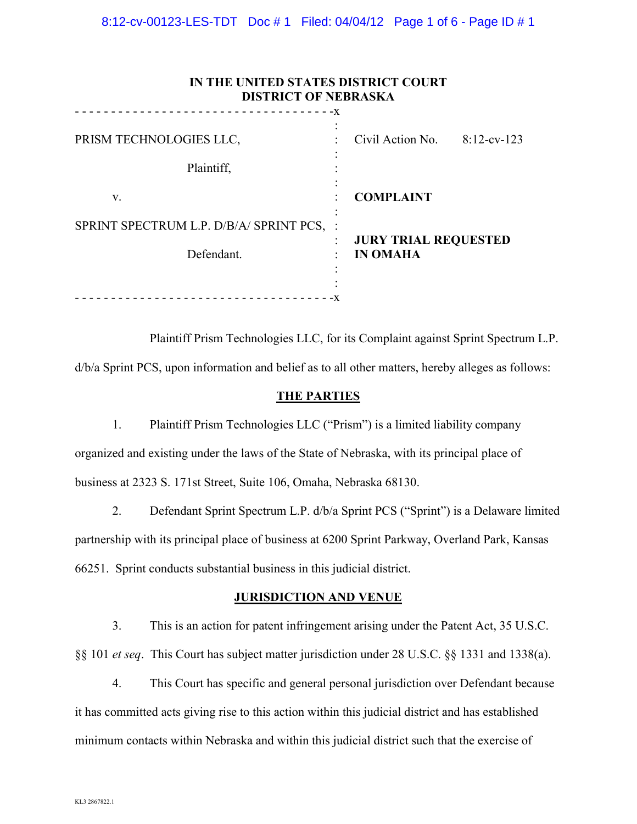| IN THE UNITED STATES DISTRICT COURT<br><b>DISTRICT OF NEBRASKA</b><br><u>.</u><br>$- - - - -X$ |                                                |                |
|------------------------------------------------------------------------------------------------|------------------------------------------------|----------------|
| PRISM TECHNOLOGIES LLC,<br>Plaintiff,                                                          | Civil Action No.                               | $8:12$ -cv-123 |
| V.                                                                                             | <b>COMPLAINT</b>                               |                |
| SPRINT SPECTRUM L.P. D/B/A/ SPRINT PCS, :<br>Defendant.                                        | <b>JURY TRIAL REQUESTED</b><br><b>IN OMAHA</b> |                |

Plaintiff Prism Technologies LLC, for its Complaint against Sprint Spectrum L.P.

d/b/a Sprint PCS, upon information and belief as to all other matters, hereby alleges as follows:

## **THE PARTIES**

1. Plaintiff Prism Technologies LLC ("Prism") is a limited liability company organized and existing under the laws of the State of Nebraska, with its principal place of business at 2323 S. 171st Street, Suite 106, Omaha, Nebraska 68130.

2. Defendant Sprint Spectrum L.P. d/b/a Sprint PCS ("Sprint") is a Delaware limited partnership with its principal place of business at 6200 Sprint Parkway, Overland Park, Kansas 66251. Sprint conducts substantial business in this judicial district.

## **JURISDICTION AND VENUE**

3. This is an action for patent infringement arising under the Patent Act, 35 U.S.C. §§ 101 *et seq*. This Court has subject matter jurisdiction under 28 U.S.C. §§ 1331 and 1338(a).

4. This Court has specific and general personal jurisdiction over Defendant because it has committed acts giving rise to this action within this judicial district and has established minimum contacts within Nebraska and within this judicial district such that the exercise of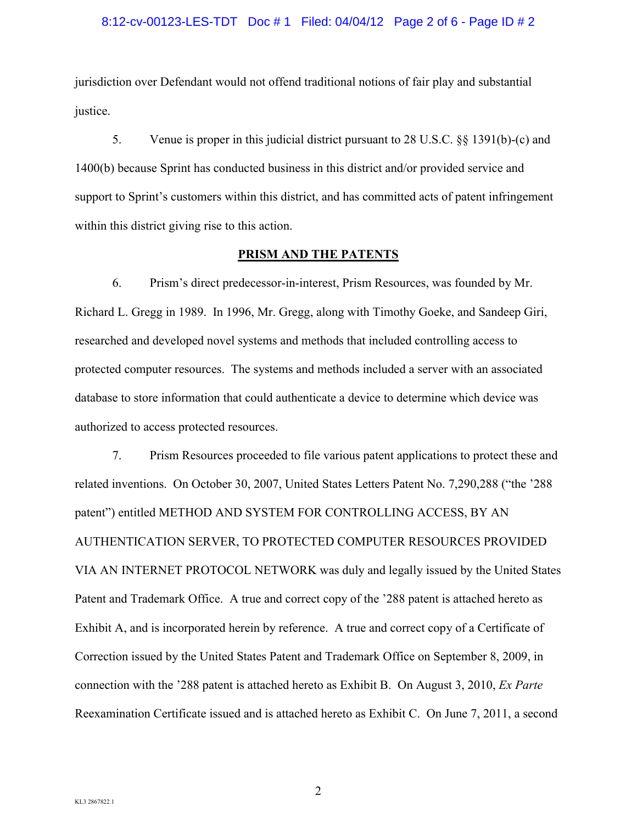## 8:12-cv-00123-LES-TDT Doc # 1 Filed: 04/04/12 Page 2 of 6 - Page ID # 2

jurisdiction over Defendant would not offend traditional notions of fair play and substantial justice.

5. Venue is proper in this judicial district pursuant to 28 U.S.C. §§ 1391(b)-(c) and 1400(b) because Sprint has conducted business in this district and/or provided service and support to Sprint's customers within this district, and has committed acts of patent infringement within this district giving rise to this action.

## **PRISM AND THE PATENTS**

6. Prism's direct predecessor-in-interest, Prism Resources, was founded by Mr. Richard L. Gregg in 1989. In 1996, Mr. Gregg, along with Timothy Goeke, and Sandeep Giri, researched and developed novel systems and methods that included controlling access to protected computer resources. The systems and methods included a server with an associated database to store information that could authenticate a device to determine which device was authorized to access protected resources.

7. Prism Resources proceeded to file various patent applications to protect these and related inventions. On October 30, 2007, United States Letters Patent No. 7,290,288 ("the '288 patent") entitled METHOD AND SYSTEM FOR CONTROLLING ACCESS, BY AN AUTHENTICATION SERVER, TO PROTECTED COMPUTER RESOURCES PROVIDED VIA AN INTERNET PROTOCOL NETWORK was duly and legally issued by the United States Patent and Trademark Office. A true and correct copy of the '288 patent is attached hereto as Exhibit A, and is incorporated herein by reference. A true and correct copy of a Certificate of Correction issued by the United States Patent and Trademark Office on September 8, 2009, in connection with the '288 patent is attached hereto as Exhibit B. On August 3, 2010, *Ex Parte* Reexamination Certificate issued and is attached hereto as Exhibit C. On June 7, 2011, a second

2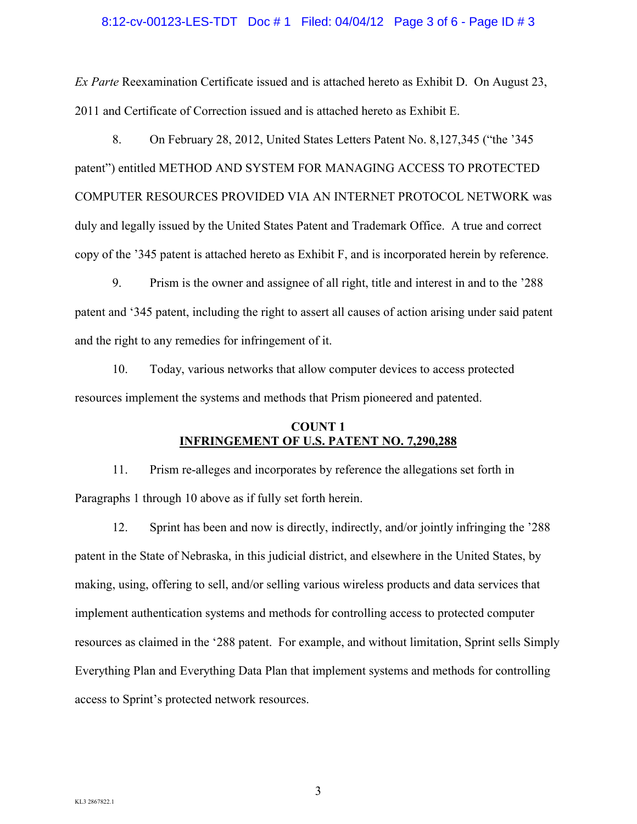## 8:12-cv-00123-LES-TDT Doc # 1 Filed: 04/04/12 Page 3 of 6 - Page ID # 3

*Ex Parte* Reexamination Certificate issued and is attached hereto as Exhibit D. On August 23, 2011 and Certificate of Correction issued and is attached hereto as Exhibit E.

8. On February 28, 2012, United States Letters Patent No. 8,127,345 ("the '345 patent") entitled METHOD AND SYSTEM FOR MANAGING ACCESS TO PROTECTED COMPUTER RESOURCES PROVIDED VIA AN INTERNET PROTOCOL NETWORK was duly and legally issued by the United States Patent and Trademark Office. A true and correct copy of the '345 patent is attached hereto as Exhibit F, and is incorporated herein by reference.

9. Prism is the owner and assignee of all right, title and interest in and to the '288 patent and '345 patent, including the right to assert all causes of action arising under said patent and the right to any remedies for infringement of it.

10. Today, various networks that allow computer devices to access protected resources implement the systems and methods that Prism pioneered and patented.

# **COUNT 1 INFRINGEMENT OF U.S. PATENT NO. 7,290,288**

11. Prism re-alleges and incorporates by reference the allegations set forth in Paragraphs 1 through 10 above as if fully set forth herein.

12. Sprint has been and now is directly, indirectly, and/or jointly infringing the '288 patent in the State of Nebraska, in this judicial district, and elsewhere in the United States, by making, using, offering to sell, and/or selling various wireless products and data services that implement authentication systems and methods for controlling access to protected computer resources as claimed in the '288 patent. For example, and without limitation, Sprint sells Simply Everything Plan and Everything Data Plan that implement systems and methods for controlling access to Sprint's protected network resources.

3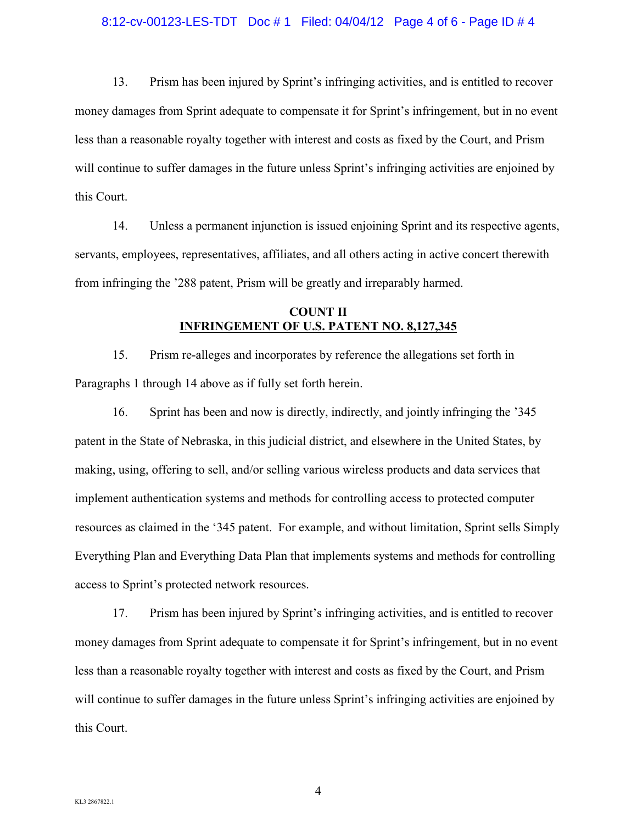## 8:12-cv-00123-LES-TDT Doc # 1 Filed: 04/04/12 Page 4 of 6 - Page ID # 4

13. Prism has been injured by Sprint's infringing activities, and is entitled to recover money damages from Sprint adequate to compensate it for Sprint's infringement, but in no event less than a reasonable royalty together with interest and costs as fixed by the Court, and Prism will continue to suffer damages in the future unless Sprint's infringing activities are enjoined by this Court.

14. Unless a permanent injunction is issued enjoining Sprint and its respective agents, servants, employees, representatives, affiliates, and all others acting in active concert therewith from infringing the '288 patent, Prism will be greatly and irreparably harmed.

# **COUNT II INFRINGEMENT OF U.S. PATENT NO. 8,127,345**

15. Prism re-alleges and incorporates by reference the allegations set forth in Paragraphs 1 through 14 above as if fully set forth herein.

16. Sprint has been and now is directly, indirectly, and jointly infringing the '345 patent in the State of Nebraska, in this judicial district, and elsewhere in the United States, by making, using, offering to sell, and/or selling various wireless products and data services that implement authentication systems and methods for controlling access to protected computer resources as claimed in the '345 patent. For example, and without limitation, Sprint sells Simply Everything Plan and Everything Data Plan that implements systems and methods for controlling access to Sprint's protected network resources.

17. Prism has been injured by Sprint's infringing activities, and is entitled to recover money damages from Sprint adequate to compensate it for Sprint's infringement, but in no event less than a reasonable royalty together with interest and costs as fixed by the Court, and Prism will continue to suffer damages in the future unless Sprint's infringing activities are enjoined by this Court.

4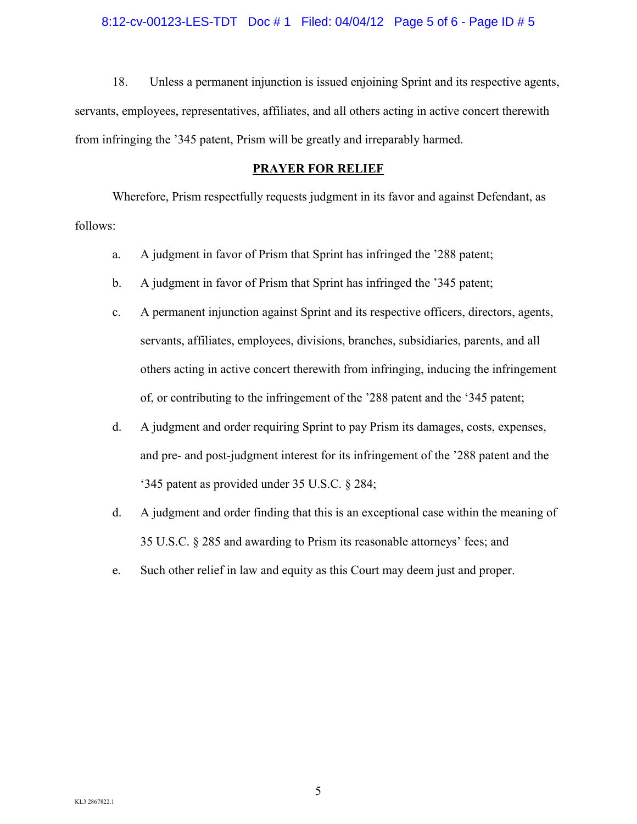#### 8:12-cv-00123-LES-TDT Doc # 1 Filed: 04/04/12 Page 5 of 6 - Page ID # 5

18. Unless a permanent injunction is issued enjoining Sprint and its respective agents, servants, employees, representatives, affiliates, and all others acting in active concert therewith from infringing the '345 patent, Prism will be greatly and irreparably harmed.

## **PRAYER FOR RELIEF**

Wherefore, Prism respectfully requests judgment in its favor and against Defendant, as follows:

- a. A judgment in favor of Prism that Sprint has infringed the '288 patent;
- b. A judgment in favor of Prism that Sprint has infringed the '345 patent;
- c. A permanent injunction against Sprint and its respective officers, directors, agents, servants, affiliates, employees, divisions, branches, subsidiaries, parents, and all others acting in active concert therewith from infringing, inducing the infringement of, or contributing to the infringement of the '288 patent and the '345 patent;
- d. A judgment and order requiring Sprint to pay Prism its damages, costs, expenses, and pre- and post-judgment interest for its infringement of the '288 patent and the '345 patent as provided under 35 U.S.C. § 284;
- d. A judgment and order finding that this is an exceptional case within the meaning of 35 U.S.C. § 285 and awarding to Prism its reasonable attorneys' fees; and
- e. Such other relief in law and equity as this Court may deem just and proper.